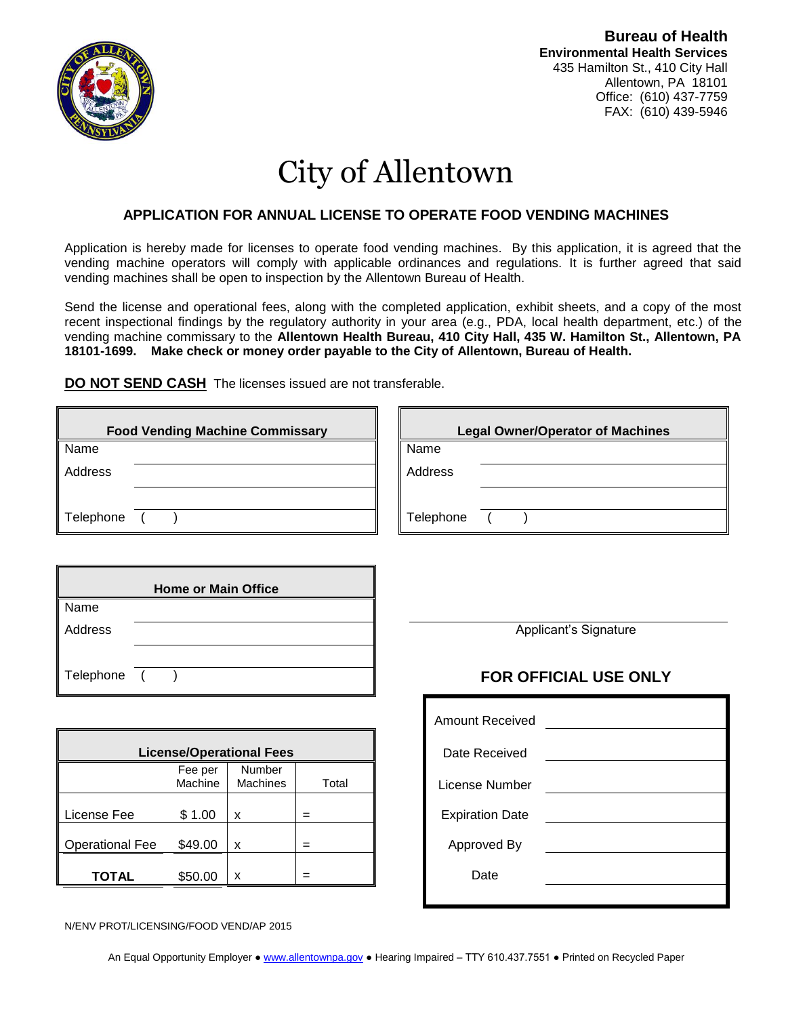

**Bureau of Health Environmental Health Services** 435 Hamilton St., 410 City Hall Allentown, PA 18101 Office: (610) 437-7759 FAX: (610) 439-5946

# City of Allentown

#### **APPLICATION FOR ANNUAL LICENSE TO OPERATE FOOD VENDING MACHINES**

Application is hereby made for licenses to operate food vending machines. By this application, it is agreed that the vending machine operators will comply with applicable ordinances and regulations. It is further agreed that said vending machines shall be open to inspection by the Allentown Bureau of Health.

Send the license and operational fees, along with the completed application, exhibit sheets, and a copy of the most recent inspectional findings by the regulatory authority in your area (e.g., PDA, local health department, etc.) of the vending machine commissary to the **Allentown Health Bureau, 410 City Hall, 435 W. Hamilton St., Allentown, PA 18101-1699. Make check or money order payable to the City of Allentown, Bureau of Health.**

**DO NOT SEND CASH** The licenses issued are not transferable.

| <b>Food Vending Machine Commissary</b> | <b>Legal Owner/Operator of Machines</b> |
|----------------------------------------|-----------------------------------------|
| Name                                   | Name                                    |
| Address                                | Address                                 |
|                                        |                                         |
| Telephone                              | Telephone                               |

| <b>Home or Main Office</b> |  |  |  |  |  |  |
|----------------------------|--|--|--|--|--|--|
| Name                       |  |  |  |  |  |  |
| Address                    |  |  |  |  |  |  |
|                            |  |  |  |  |  |  |
| Telephone (                |  |  |  |  |  |  |

| <b>License/Operational Fees</b> |                    |                           |       |  | Date Received          |
|---------------------------------|--------------------|---------------------------|-------|--|------------------------|
|                                 | Fee per<br>Machine | Number<br><b>Machines</b> | Total |  | License Number         |
| License Fee                     | \$1.00             | x                         |       |  | <b>Expiration Date</b> |
| <b>Operational Fee</b>          | \$49.00            | X                         |       |  | Approved By            |
| TOTAL                           | \$50.00            | x                         |       |  | Date                   |

N/ENV PROT/LICENSING/FOOD VEND/AP 2015

Applicant's Signature

### **FOR OFFICIAL USE ONLY**

| <b>Amount Received</b> |  |
|------------------------|--|
| Date Received          |  |
| License Number         |  |
| <b>Expiration Date</b> |  |
| Approved By            |  |
| Date                   |  |
|                        |  |